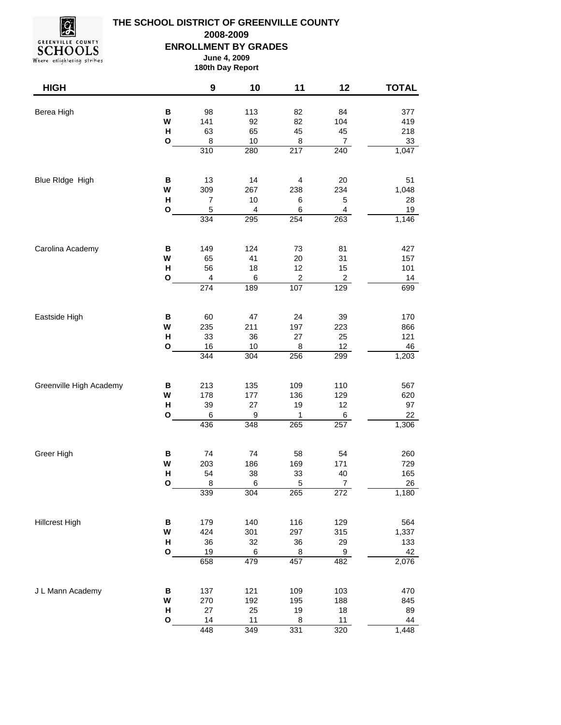

## **THE SCHOOL DISTRICT OF GREENVILLE COUNTY ENROLLMENT BY GRADES June 4, 2009 2008-2009**

## **180th Day Report**

| <b>HIGH</b>             |                    | 9                       | 10        | 11                      | 12               | <b>TOTAL</b> |
|-------------------------|--------------------|-------------------------|-----------|-------------------------|------------------|--------------|
|                         |                    |                         |           |                         |                  |              |
| Berea High              | B<br>W             | 98<br>141               | 113<br>92 | 82<br>82                | 84<br>104        | 377<br>419   |
|                         | Н                  | 63                      | 65        | 45                      | 45               | 218          |
|                         | O                  | $\bf 8$                 | $10$      | $\bf8$                  | $\boldsymbol{7}$ | $33\,$       |
|                         |                    | $\overline{310}$        | 280       | $\overline{217}$        | 240              | 1,047        |
|                         |                    |                         |           |                         |                  |              |
| Blue RIdge High         | В                  | 13                      | 14        | $\overline{\mathbf{4}}$ | 20               | 51           |
|                         | W                  | 309                     | 267       | 238                     | 234              | 1,048        |
|                         | Н                  | $\overline{\mathbf{7}}$ | 10        | 6                       | $\mathbf 5$      | 28           |
|                         | O                  | 5<br>334                | 4<br>295  | 6<br>254                | 4<br>263         | 19<br>1,146  |
|                         |                    |                         |           |                         |                  |              |
| Carolina Academy        | B                  | 149                     | 124       | 73                      | 81               | 427          |
|                         | W                  | 65                      | 41        | 20                      | 31               | 157          |
|                         | н                  | 56                      | 18        | 12                      | 15               | 101          |
|                         | O                  | $\overline{\mathbf{4}}$ | 6         | $\boldsymbol{2}$        | $\boldsymbol{2}$ | 14           |
|                         |                    | 274                     | 189       | 107                     | 129              | 699          |
|                         |                    |                         |           |                         |                  |              |
| Eastside High           | $\, {\bf B}$<br>W  | 60<br>235               | 47<br>211 | 24<br>197               | 39<br>223        | 170<br>866   |
|                         | $\pmb{\mathsf{H}}$ | 33                      | 36        | 27                      | 25               | 121          |
|                         | O                  | 16                      | 10        | 8                       | 12               | 46           |
|                         |                    | 344                     | 304       | 256                     | 299              | 1,203        |
|                         |                    |                         |           |                         |                  |              |
| Greenville High Academy | B                  | 213                     | 135       | 109                     | 110              | 567          |
|                         | W                  | 178                     | 177       | 136                     | 129              | 620          |
|                         | $\mathsf{H}$       | 39                      | 27        | 19                      | 12               | 97           |
|                         | O                  | $\,6$<br>436            | 9<br>348  | $\mathbf{1}$<br>265     | 6<br>257         | 22<br>1,306  |
|                         |                    |                         |           |                         |                  |              |
| Greer High              | B                  | 74                      | 74        | 58                      | 54               | 260          |
|                         | W                  | 203                     | 186       | 169                     | 171              | 729          |
|                         | Н                  | 54                      | 38        | 33                      | 40               | 165          |
|                         | O                  | 8<br>339                | 6<br>304  | 5<br>265                | 7<br>272         | 26<br>1,180  |
|                         |                    |                         |           |                         |                  |              |
| <b>Hillcrest High</b>   | B                  | 179                     | 140       | 116                     | 129              | 564          |
|                         | W                  | 424                     | 301       | 297                     | 315              | 1,337        |
|                         | н                  | 36                      | 32        | 36                      | 29               | 133          |
|                         | $\mathbf{o}$       | 19                      | 6         | $\bf 8$                 | $\boldsymbol{9}$ | 42           |
|                         |                    | 658                     | 479       | 457                     | 482              | 2,076        |
| J L Mann Academy        |                    |                         |           |                         |                  |              |
|                         | В                  | 137                     | 121       | 109                     | 103              | 470          |
|                         | W<br>н             | 270<br>27               | 192<br>25 | 195<br>19               | 188<br>18        | 845<br>89    |
|                         | $\mathbf{o}$       | 14                      | 11        | $\overline{8}$          | 11               | 44           |
|                         |                    | 448                     | 349       | 331                     | 320              | 1,448        |